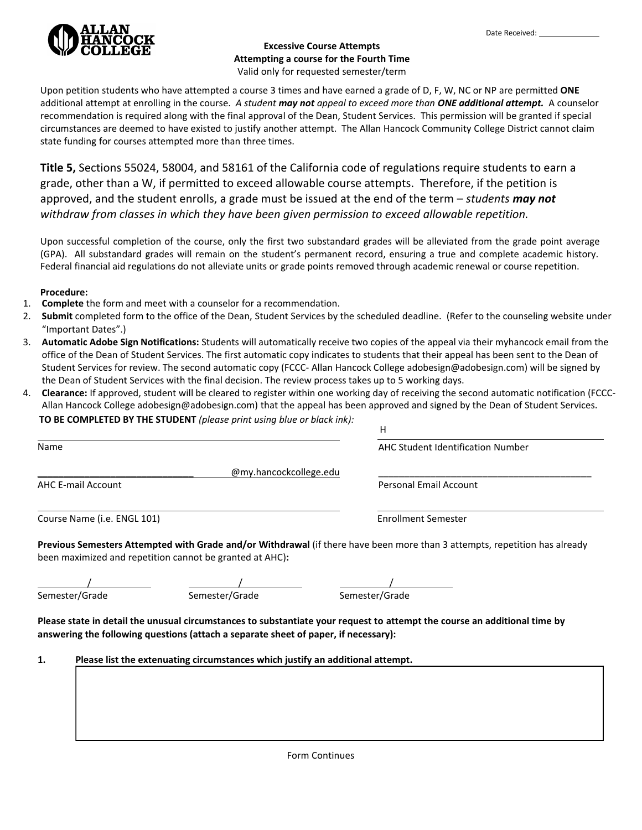

## **Excessive Course Attempts Attempting a course for the Fourth Time**  Valid only for requested semester/term

Upon petition students who have attempted a course 3 times and have earned a grade of D, F, W, NC or NP are permitted **ONE** additional attempt at enrolling in the course. *A student may not appeal to exceed more than ONE additional attempt.* A counselor recommendation is required along with the final approval of the Dean, Student Services. This permission will be granted if special circumstances are deemed to have existed to justify another attempt. The Allan Hancock Community College District cannot claim state funding for courses attempted more than three times.

**Title 5,** Sections 55024, 58004, and 58161 of the California code of regulations require students to earn a grade, other than a W, if permitted to exceed allowable course attempts. Therefore, if the petition is approved, and the student enrolls, a grade must be issued at the end of the term – *students may not withdraw from classes in which they have been given permission to exceed allowable repetition.*

Upon successful completion of the course, only the first two substandard grades will be alleviated from the grade point average (GPA). All substandard grades will remain on the student's permanent record, ensuring a true and complete academic history. Federal financial aid regulations do not alleviate units or grade points removed through academic renewal or course repetition.

## **Procedure:**

- 1. **Complete** the form and meet with a counselor for a recommendation.
- 2. **Submit** completed form to the office of the Dean, Student Services by the scheduled deadline. (Refer to the counseling website under "Important Dates".)
- 3. **Automatic Adobe Sign Notifications:** Students will automatically receive two copies of the appeal via their myhancock email from the office of the Dean of Student Services. The first automatic copy indicates to students that their appeal has been sent to the Dean of Student Services for review. The second automatic copy (FCCC- Allan Hancock College adobesign@adobesign.com) will be signed by the Dean of Student Services with the final decision. The review process takes up to 5 working days.
- 4. **Clearance:** If approved, student will be cleared to register within one working day of receiving the second automatic notification (FCCC-Allan Hancock College adobesign@adobesign.com) that the appeal has been approved and signed by the Dean of Student Services. **TO BE COMPLETED BY THE STUDENT** *(please print using blue or black ink):*

|                             |                                                                                     | н                                                                                                                          |
|-----------------------------|-------------------------------------------------------------------------------------|----------------------------------------------------------------------------------------------------------------------------|
| Name                        |                                                                                     | AHC Student Identification Number                                                                                          |
|                             | @my.hancockcollege.edu                                                              |                                                                                                                            |
| <b>AHC E-mail Account</b>   |                                                                                     | Personal Email Account                                                                                                     |
| Course Name (i.e. ENGL 101) |                                                                                     | <b>Enrollment Semester</b>                                                                                                 |
|                             | been maximized and repetition cannot be granted at AHC):                            | Previous Semesters Attempted with Grade and/or Withdrawal (if there have been more than 3 attempts, repetition has already |
|                             |                                                                                     |                                                                                                                            |
| Semester/Grade              | Semester/Grade                                                                      | Semester/Grade                                                                                                             |
|                             | answering the following questions (attach a separate sheet of paper, if necessary): | Please state in detail the unusual circumstances to substantiate your request to attempt the course an additional time by  |
| 1.                          | Please list the extenuating circumstances which justify an additional attempt.      |                                                                                                                            |
|                             |                                                                                     |                                                                                                                            |
|                             |                                                                                     |                                                                                                                            |
|                             |                                                                                     |                                                                                                                            |